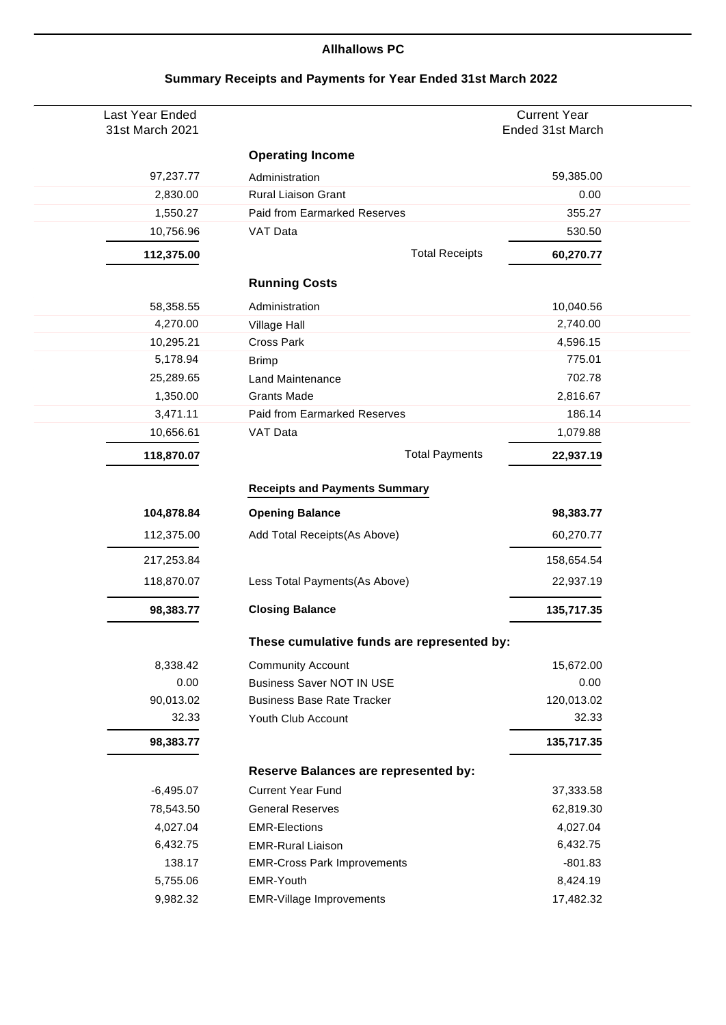## **Allhallows PC**

| Last Year Ended<br>31st March 2021 |                                            | <b>Current Year</b><br>Ended 31st March |
|------------------------------------|--------------------------------------------|-----------------------------------------|
|                                    |                                            |                                         |
|                                    | <b>Operating Income</b>                    |                                         |
| 97,237.77                          | Administration                             | 59,385.00                               |
| 2,830.00                           | Rural Liaison Grant                        | 0.00                                    |
| 1,550.27                           | Paid from Earmarked Reserves               | 355.27                                  |
| 10,756.96                          | VAT Data                                   | 530.50                                  |
| 112,375.00                         | <b>Total Receipts</b>                      | 60,270.77                               |
|                                    | <b>Running Costs</b>                       |                                         |
| 58,358.55                          | Administration                             | 10,040.56                               |
| 4,270.00                           | Village Hall                               | 2,740.00                                |
| 10,295.21                          | <b>Cross Park</b>                          | 4,596.15                                |
| 5,178.94                           | <b>Brimp</b>                               | 775.01                                  |
| 25,289.65                          | <b>Land Maintenance</b>                    | 702.78                                  |
| 1,350.00                           | <b>Grants Made</b>                         | 2,816.67                                |
| 3,471.11                           | Paid from Earmarked Reserves               | 186.14                                  |
| 10,656.61                          | VAT Data                                   | 1,079.88                                |
| 118,870.07                         | <b>Total Payments</b>                      | 22,937.19                               |
|                                    |                                            |                                         |
|                                    | <b>Receipts and Payments Summary</b>       |                                         |
| 104,878.84                         | <b>Opening Balance</b>                     | 98,383.77                               |
| 112,375.00                         | Add Total Receipts(As Above)               | 60,270.77                               |
| 217,253.84                         |                                            | 158,654.54                              |
| 118,870.07                         | Less Total Payments(As Above)              | 22,937.19                               |
| 98,383.77                          | <b>Closing Balance</b>                     | 135,717.35                              |
|                                    | These cumulative funds are represented by: |                                         |
| 8,338.42                           | <b>Community Account</b>                   | 15,672.00                               |
| 0.00                               | <b>Business Saver NOT IN USE</b>           | 0.00                                    |
| 90,013.02                          | <b>Business Base Rate Tracker</b>          | 120,013.02                              |
| 32.33                              | Youth Club Account                         | 32.33                                   |
| 98,383.77                          |                                            | 135,717.35                              |
|                                    | Reserve Balances are represented by:       |                                         |
| $-6,495.07$                        | <b>Current Year Fund</b>                   | 37,333.58                               |
| 78,543.50                          | <b>General Reserves</b>                    | 62,819.30                               |
| 4,027.04                           | <b>EMR-Elections</b>                       | 4,027.04                                |
| 6,432.75                           | <b>EMR-Rural Liaison</b>                   | 6,432.75                                |
| 138.17                             | <b>EMR-Cross Park Improvements</b>         | $-801.83$                               |
| 5,755.06                           | EMR-Youth                                  | 8,424.19                                |
| 9,982.32                           | <b>EMR-Village Improvements</b>            | 17,482.32                               |

## **Summary Receipts and Payments for Year Ended 31st March 2022**